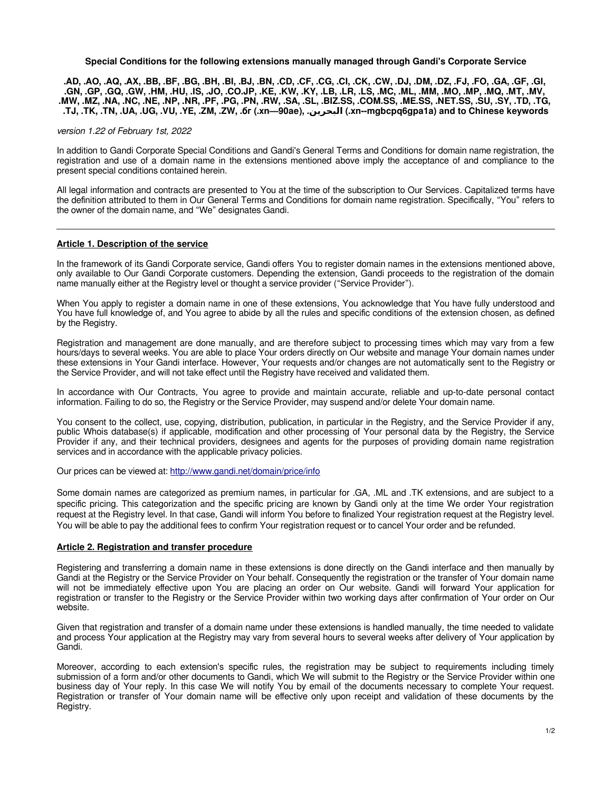**Special Conditions for the following extensions manually managed through Gandi's Corporate Service**

**.AD, .AO, .AQ, .AX, .BB, .BF, .BG, .BH, .BI, .BJ, .BN, .CD, .CF, .CG, .CI, .CK, .CW, .DJ, .DM, .DZ, .FJ, .FO, .GA, .GF, .GI, .GN, .GP, .GQ, .GW, .HM, .HU, .IS, .JO, .CO.JP, .KE, .KW, .KY, .LB, .LR, .LS, .MC, .ML, .MM, .MO, .MP, .MQ, .MT, .MV, .MW, .MZ, .NA, .NC, .NE, .NP, .NR, .PF, .PG, .PN, .RW, .SA, .SL, .BIZ.SS, .COM.SS, .ME.SS, .NET.SS, .SU, .SY, .TD, .TG, .TJ, .TK, .TN, .UA, .UG, .VU, .YE, .ZM, .ZW, .бг (.xn—90ae), .البحرين) .xn--mgbcpq6gpa1a) and to Chinese keywords**

version 1.22 of February 1st, 2022

In addition to Gandi Corporate Special Conditions and Gandi's General Terms and Conditions for domain name registration, the registration and use of a domain name in the extensions mentioned above imply the acceptance of and compliance to the present special conditions contained herein.

All legal information and contracts are presented to You at the time of the subscription to Our Services. Capitalized terms have the definition attributed to them in Our General Terms and Conditions for domain name registration. Specifically, "You" refers to the owner of the domain name, and "We" designates Gandi.

### **Article 1. Description of the service**

In the framework of its Gandi Corporate service, Gandi offers You to register domain names in the extensions mentioned above, only available to Our Gandi Corporate customers. Depending the extension, Gandi proceeds to the registration of the domain name manually either at the Registry level or thought a service provider ("Service Provider").

When You apply to register a domain name in one of these extensions, You acknowledge that You have fully understood and You have full knowledge of, and You agree to abide by all the rules and specific conditions of the extension chosen, as defined by the Registry.

Registration and management are done manually, and are therefore subject to processing times which may vary from a few hours/days to several weeks. You are able to place Your orders directly on Our website and manage Your domain names under these extensions in Your Gandi interface. However, Your requests and/or changes are not automatically sent to the Registry or the Service Provider, and will not take effect until the Registry have received and validated them.

In accordance with Our Contracts, You agree to provide and maintain accurate, reliable and up-to-date personal contact information. Failing to do so, the Registry or the Service Provider, may suspend and/or delete Your domain name.

<span id="page-0-0"></span>You consent to the collect, use, copying, distribution, publication, in particular in the Registry, and the Service Provider if any, public [Whois](#page-0-0) database(s) if applicable, modification and other processing of Your personal data by the Registry, the Service Provider if any, and their technical providers, designees and agents for the purposes of providing domain name registration services and in accordance with the applicable privacy policies.

Our prices can be viewed at:<http://www.gandi.net/domain/price/info>

Some domain names are categorized as premium names, in particular for .GA, .ML and .TK extensions, and are subject to a specific pricing. This categorization and the specific pricing are known by Gandi only at the time We order Your registration request at the Registry level. In that case, Gandi will inform You before to finalized Your registration request at the Registry level. You will be able to pay the additional fees to confirm Your registration request or to cancel Your order and be refunded.

### **Article 2. Registration and transfer procedure**

Registering and transferring a domain name in these extensions is done directly on the Gandi interface and then manually by Gandi at the Registry or the Service Provider on Your behalf. Consequently the registration or the transfer of Your domain name will not be immediately effective upon You are placing an order on Our website. Gandi will forward Your application for registration or transfer to the Registry or the Service Provider within two working days after confirmation of Your order on Our website.

Given that registration and transfer of a domain name under these extensions is handled manually, the time needed to validate and process Your application at the Registry may vary from several hours to several weeks after delivery of Your application by Gandi.

Moreover, according to each extension's specific rules, the registration may be subject to requirements including timely submission of a form and/or other documents to Gandi, which We will submit to the Registry or the Service Provider within one business day of Your reply. In this case We will notify You by email of the documents necessary to complete Your request. Registration or transfer of Your domain name will be effective only upon receipt and validation of these documents by the Registry.